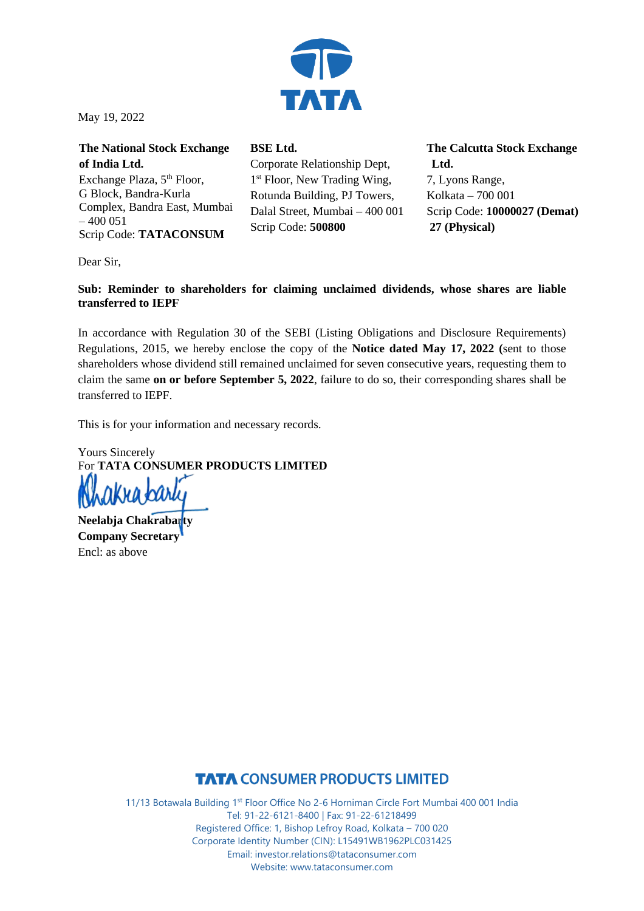

l May 19, 2022

| <b>The National Stock Exchange</b>     |
|----------------------------------------|
| of India Ltd.                          |
| Exchange Plaza, 5 <sup>th</sup> Floor, |
| G Block, Bandra-Kurla                  |
| Complex, Bandra East, Mumbai           |
| $-400051$                              |
| Scrip Code: TATACONSUM                 |

**BSE Ltd.** Corporate Relationship Dept, 1 st Floor, New Trading Wing, Rotunda Building, PJ Towers, Dalal Street, Mumbai – 400 001 Scrip Code: **500800**

**The Calcutta Stock Exchange Ltd.** 7, Lyons Range, Kolkata – 700 001

Scrip Code: **10000027 (Demat)**

**27 (Physical)**

Dear Sir,

## **Sub: Reminder to shareholders for claiming unclaimed dividends, whose shares are liable transferred to IEPF**

In accordance with Regulation 30 of the SEBI (Listing Obligations and Disclosure Requirements) Regulations, 2015, we hereby enclose the copy of the **Notice dated May 17, 2022 (**sent to those shareholders whose dividend still remained unclaimed for seven consecutive years, requesting them to claim the same **on or before September 5, 2022**, failure to do so, their corresponding shares shall be transferred to IEPF.

This is for your information and necessary records.

Yours Sincerely For **TATA CONSUMER PRODUCTS LIMITED**

**Neelabja Chakrabarty Company Secretary** Encl: as above

# **TATA CONSUMER PRODUCTS LIMITED**

11/13 Botawala Building 1st Floor Office No 2-6 Horniman Circle Fort Mumbai 400 001 India Tel: 91-22-6121-8400 | Fax: 91-22-61218499 Registered Office: 1, Bishop Lefroy Road, Kolkata – 700 020 Corporate Identity Number (CIN): L15491WB1962PLC031425 Email: investor.relations@tataconsumer.com Website: www.tataconsumer.com